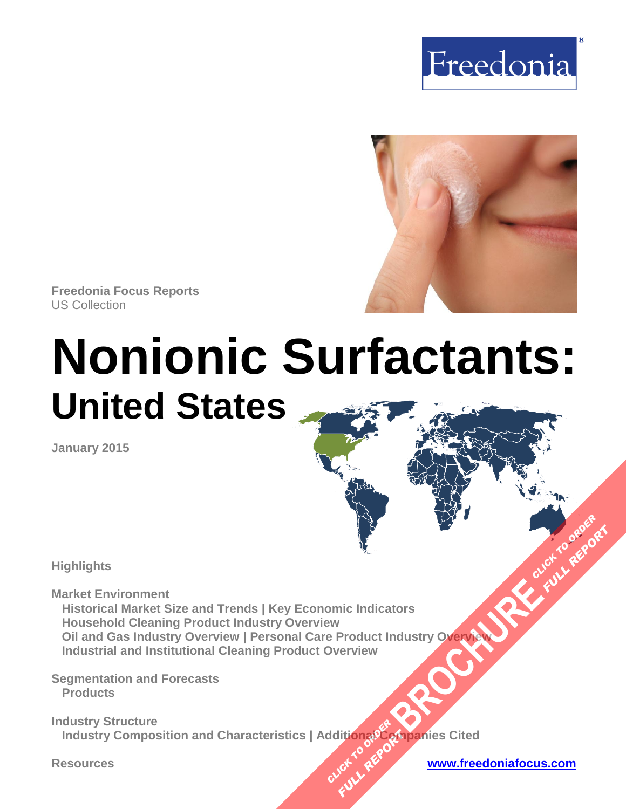



**Freedonia Focus Reports** US Collection

# **Nonionic Surfactants: United States**

**January 2015**

**Highlights** 

**Market Environment** 

 **Historical Market Size and Trends | Key Economic Indicators Household Cleaning Product Industry Overview Oil and Gas Industry Overview | Personal Care Product Industry Overview Industrial and Institutional Cleaning Product Overview [BROCHURE](http://www.freedoniagroup.com/FocusDetails.aspx?ReferrerId=FM-FocusBro&ReportID=FF35100)AD CLICK TO ORDER** 

**Segmentation and Forecasts Products** 

**Industry Structure Industry Composition and Characteristics | Additional Companies Cited CLICK TO REPORT FULL REPORT** 

**Resources [www.freedoniafocus.com](http://www.freedoniagroup.com/FocusReports.aspx?ReferrerId=FM-FocusBro)**

**FULL REPORT**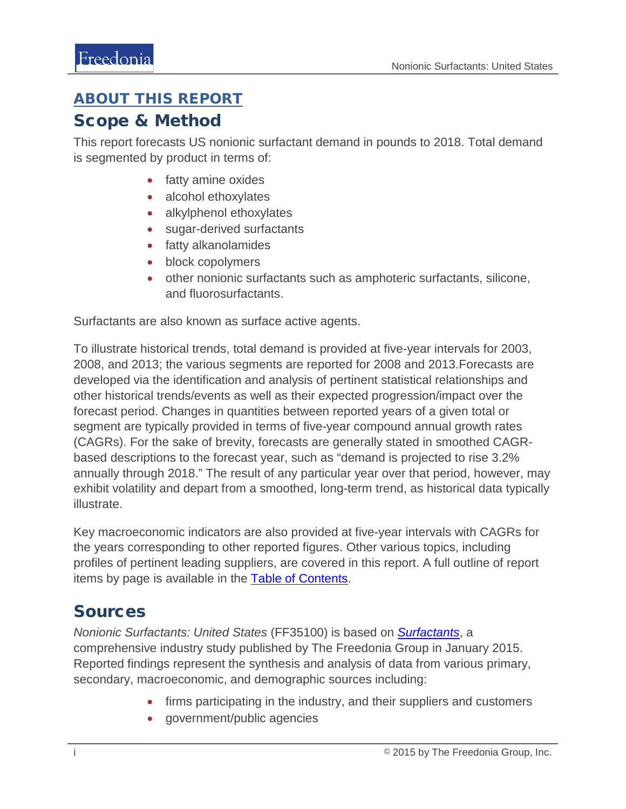#### <span id="page-1-0"></span>ABOUT THIS REPORT

#### Scope & Method

This report forecasts US nonionic surfactant demand in pounds to 2018. Total demand is segmented by product in terms of:

- fatty amine oxides
- alcohol ethoxylates
- alkylphenol ethoxylates
- sugar-derived surfactants
- fatty alkanolamides
- block copolymers
- other nonionic surfactants such as amphoteric surfactants, silicone, and fluorosurfactants.

Surfactants are also known as surface active agents.

To illustrate historical trends, total demand is provided at five-year intervals for 2003, 2008, and 2013; the various segments are reported for 2008 and 2013.Forecasts are developed via the identification and analysis of pertinent statistical relationships and other historical trends/events as well as their expected progression/impact over the forecast period. Changes in quantities between reported years of a given total or segment are typically provided in terms of five-year compound annual growth rates (CAGRs). For the sake of brevity, forecasts are generally stated in smoothed CAGRbased descriptions to the forecast year, such as "demand is projected to rise 3.2% annually through 2018." The result of any particular year over that period, however, may exhibit volatility and depart from a smoothed, long-term trend, as historical data typically illustrate.

Key macroeconomic indicators are also provided at five-year intervals with CAGRs for the years corresponding to other reported figures. Other various topics, including profiles of pertinent leading suppliers, are covered in this report. A full outline of report items by page is available in the [Table of Contents.](#page-3-0)

### Sources

*Nonionic Surfactants: United States* (FF35100) is based on *[Surfactants](http://www.freedoniagroup.com/DocumentDetails.aspx?ReferrerId=FL-FOCUS&studyid=3247)*, a comprehensive industry study published by The Freedonia Group in January 2015. Reported findings represent the synthesis and analysis of data from various primary, secondary, macroeconomic, and demographic sources including:

- firms participating in the industry, and their suppliers and customers
- government/public agencies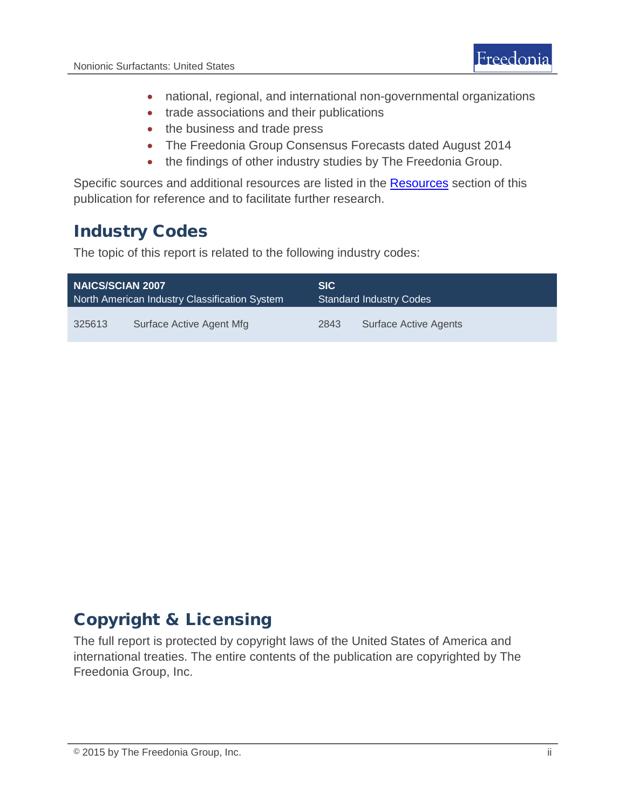- national, regional, and international non-governmental organizations
- trade associations and their publications
- the business and trade press
- The Freedonia Group Consensus Forecasts dated August 2014
- the findings of other industry studies by The Freedonia Group.

Specific sources and additional resources are listed in the **Resources** section of this publication for reference and to facilitate further research.

# Industry Codes

The topic of this report is related to the following industry codes:

| <b>NAICS/SCIAN 2007</b>                       |                          | <b>SIC</b>                     |                       |
|-----------------------------------------------|--------------------------|--------------------------------|-----------------------|
| North American Industry Classification System |                          | <b>Standard Industry Codes</b> |                       |
| 325613                                        | Surface Active Agent Mfg | 2843                           | Surface Active Agents |

# Copyright & Licensing

The full report is protected by copyright laws of the United States of America and international treaties. The entire contents of the publication are copyrighted by The Freedonia Group, Inc.